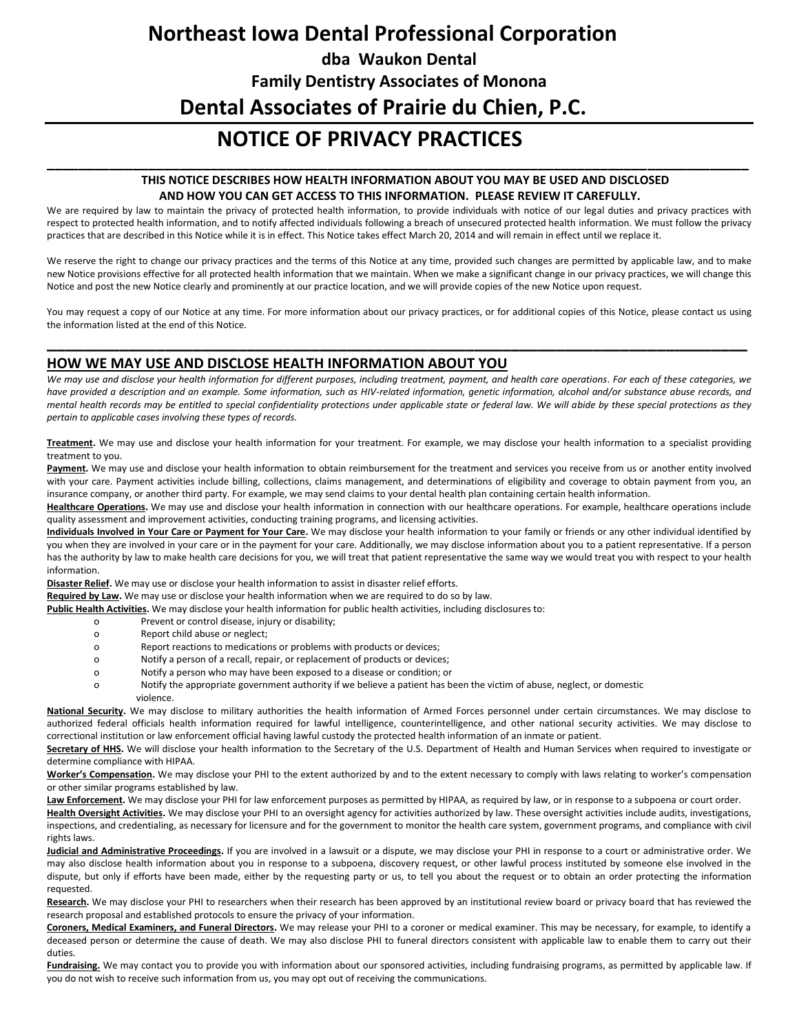# **Northeast Iowa Dental Professional Corporation dba Waukon Dental Family Dentistry Associates of Monona Dental Associates of Prairie du Chien, P.C.**

## **NOTICE OF PRIVACY PRACTICES**

### **THIS NOTICE DESCRIBES HOW HEALTH INFORMATION ABOUT YOU MAY BE USED AND DISCLOSED AND HOW YOU CAN GET ACCESS TO THIS INFORMATION. PLEASE REVIEW IT CAREFULLY.**

We are required by law to maintain the privacy of protected health information, to provide individuals with notice of our legal duties and privacy practices with respect to protected health information, and to notify affected individuals following a breach of unsecured protected health information. We must follow the privacy practices that are described in this Notice while it is in effect. This Notice takes effect March 20, 2014 and will remain in effect until we replace it.

**\_\_\_\_\_\_\_\_\_\_\_\_\_\_\_\_\_\_\_\_\_\_\_\_\_\_\_\_\_\_\_\_\_\_\_\_\_\_\_\_\_\_\_\_\_\_\_\_\_\_\_\_\_\_\_\_\_\_\_\_\_\_\_\_\_\_\_\_\_\_\_\_\_\_\_\_\_\_\_\_\_\_\_\_\_\_\_\_\_\_**

We reserve the right to change our privacy practices and the terms of this Notice at any time, provided such changes are permitted by applicable law, and to make new Notice provisions effective for all protected health information that we maintain. When we make a significant change in our privacy practices, we will change this Notice and post the new Notice clearly and prominently at our practice location, and we will provide copies of the new Notice upon request.

You may request a copy of our Notice at any time. For more information about our privacy practices, or for additional copies of this Notice, please contact us using the information listed at the end of this Notice.

**\_\_\_\_\_\_\_\_\_\_\_\_\_\_\_\_\_\_\_\_\_\_\_\_\_\_\_\_\_\_\_\_\_\_\_\_\_\_\_\_\_\_\_\_\_\_\_\_\_\_\_\_\_\_\_\_\_\_\_\_\_\_\_\_\_\_\_\_\_\_\_\_\_\_\_\_\_**

## **HOW WE MAY USE AND DISCLOSE HEALTH INFORMATION ABOUT YOU**

*We may use and disclose your health information for different purposes, including treatment, payment, and health care operations. For each of these categories, we have provided a description and an example. Some information, such as HIV-related information, genetic information, alcohol and/or substance abuse records, and mental health records may be entitled to special confidentiality protections under applicable state or federal law. We will abide by these special protections as they pertain to applicable cases involving these types of records.* 

**Treatment.** We may use and disclose your health information for your treatment. For example, we may disclose your health information to a specialist providing treatment to you.

Payment. We may use and disclose your health information to obtain reimbursement for the treatment and services you receive from us or another entity involved with your care. Payment activities include billing, collections, claims management, and determinations of eligibility and coverage to obtain payment from you, an insurance company, or another third party. For example, we may send claims to your dental health plan containing certain health information.

**Healthcare Operations.** We may use and disclose your health information in connection with our healthcare operations. For example, healthcare operations include quality assessment and improvement activities, conducting training programs, and licensing activities.

**Individuals Involved in Your Care or Payment for Your Care.** We may disclose your health information to your family or friends or any other individual identified by you when they are involved in your care or in the payment for your care. Additionally, we may disclose information about you to a patient representative. If a person has the authority by law to make health care decisions for you, we will treat that patient representative the same way we would treat you with respect to your health information.

**Disaster Relief.** We may use or disclose your health information to assist in disaster relief efforts.

**Required by Law.** We may use or disclose your health information when we are required to do so by law.

**Public Health Activities.** We may disclose your health information for public health activities, including disclosures to:

- o Prevent or control disease, injury or disability;
- o Report child abuse or neglect;
- o Report reactions to medications or problems with products or devices;
- o Notify a person of a recall, repair, or replacement of products or devices;
- o Notify a person who may have been exposed to a disease or condition; or
- o Notify the appropriate government authority if we believe a patient has been the victim of abuse, neglect, or domestic violence.

**National Security.** We may disclose to military authorities the health information of Armed Forces personnel under certain circumstances. We may disclose to authorized federal officials health information required for lawful intelligence, counterintelligence, and other national security activities. We may disclose to correctional institution or law enforcement official having lawful custody the protected health information of an inmate or patient.

Secretary of HHS. We will disclose your health information to the Secretary of the U.S. Department of Health and Human Services when required to investigate or determine compliance with HIPAA.

**Worker's Compensation.** We may disclose your PHI to the extent authorized by and to the extent necessary to comply with laws relating to worker's compensation or other similar programs established by law.

Law Enforcement. We may disclose your PHI for law enforcement purposes as permitted by HIPAA, as required by law, or in response to a subpoena or court order.

Health Oversight Activities. We may disclose your PHI to an oversight agency for activities authorized by law. These oversight activities include audits, investigations, inspections, and credentialing, as necessary for licensure and for the government to monitor the health care system, government programs, and compliance with civil rights laws.

**Judicial and Administrative Proceedings.** If you are involved in a lawsuit or a dispute, we may disclose your PHI in response to a court or administrative order. We may also disclose health information about you in response to a subpoena, discovery request, or other lawful process instituted by someone else involved in the dispute, but only if efforts have been made, either by the requesting party or us, to tell you about the request or to obtain an order protecting the information requested.

**Research.** We may disclose your PHI to researchers when their research has been approved by an institutional review board or privacy board that has reviewed the research proposal and established protocols to ensure the privacy of your information.

**Coroners, Medical Examiners, and Funeral Directors.** We may release your PHI to a coroner or medical examiner. This may be necessary, for example, to identify a deceased person or determine the cause of death. We may also disclose PHI to funeral directors consistent with applicable law to enable them to carry out their duties.

Fundraising. We may contact you to provide you with information about our sponsored activities, including fundraising programs, as permitted by applicable law. If you do not wish to receive such information from us, you may opt out of receiving the communications.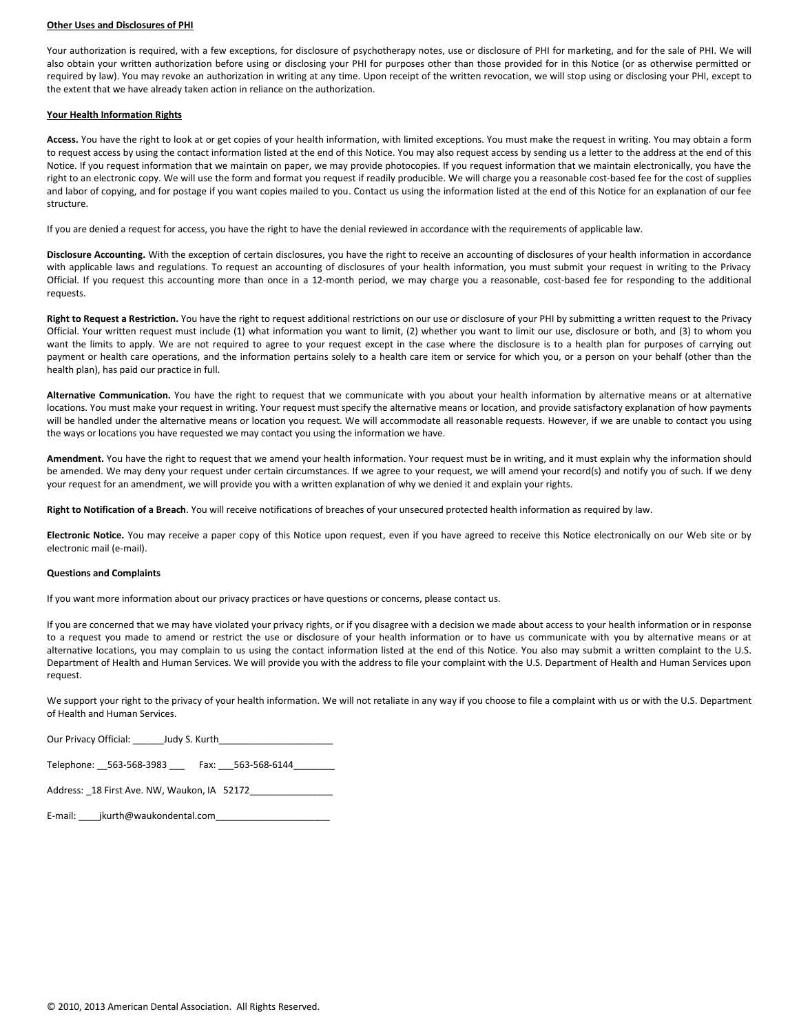#### **Other Uses and Disclosures of PHI**

Your authorization is required, with a few exceptions, for disclosure of psychotherapy notes, use or disclosure of PHI for marketing, and for the sale of PHI. We will also obtain your written authorization before using or disclosing your PHI for purposes other than those provided for in this Notice (or as otherwise permitted or required by law). You may revoke an authorization in writing at any time. Upon receipt of the written revocation, we will stop using or disclosing your PHI, except to the extent that we have already taken action in reliance on the authorization.

#### **Your Health Information Rights**

**Access.** You have the right to look at or get copies of your health information, with limited exceptions. You must make the request in writing. You may obtain a form to request access by using the contact information listed at the end of this Notice. You may also request access by sending us a letter to the address at the end of this Notice. If you request information that we maintain on paper, we may provide photocopies. If you request information that we maintain electronically, you have the right to an electronic copy. We will use the form and format you request if readily producible. We will charge you a reasonable cost-based fee for the cost of supplies and labor of copying, and for postage if you want copies mailed to you. Contact us using the information listed at the end of this Notice for an explanation of our fee structure.

If you are denied a request for access, you have the right to have the denial reviewed in accordance with the requirements of applicable law.

**Disclosure Accounting.** With the exception of certain disclosures, you have the right to receive an accounting of disclosures of your health information in accordance with applicable laws and regulations. To request an accounting of disclosures of your health information, you must submit your request in writing to the Privacy Official. If you request this accounting more than once in a 12-month period, we may charge you a reasonable, cost-based fee for responding to the additional requests.

**Right to Request a Restriction.** You have the right to request additional restrictions on our use or disclosure of your PHI by submitting a written request to the Privacy Official. Your written request must include (1) what information you want to limit, (2) whether you want to limit our use, disclosure or both, and (3) to whom you want the limits to apply. We are not required to agree to your request except in the case where the disclosure is to a health plan for purposes of carrying out payment or health care operations, and the information pertains solely to a health care item or service for which you, or a person on your behalf (other than the health plan), has paid our practice in full.

**Alternative Communication.** You have the right to request that we communicate with you about your health information by alternative means or at alternative locations. You must make your request in writing. Your request must specify the alternative means or location, and provide satisfactory explanation of how payments will be handled under the alternative means or location you request. We will accommodate all reasonable requests. However, if we are unable to contact you using the ways or locations you have requested we may contact you using the information we have.

**Amendment.** You have the right to request that we amend your health information. Your request must be in writing, and it must explain why the information should be amended. We may deny your request under certain circumstances. If we agree to your request, we will amend your record(s) and notify you of such. If we deny your request for an amendment, we will provide you with a written explanation of why we denied it and explain your rights.

**Right to Notification of a Breach**. You will receive notifications of breaches of your unsecured protected health information as required by law.

**Electronic Notice.** You may receive a paper copy of this Notice upon request, even if you have agreed to receive this Notice electronically on our Web site or by electronic mail (e-mail).

#### **Questions and Complaints**

If you want more information about our privacy practices or have questions or concerns, please contact us.

If you are concerned that we may have violated your privacy rights, or if you disagree with a decision we made about access to your health information or in response to a request you made to amend or restrict the use or disclosure of your health information or to have us communicate with you by alternative means or at alternative locations, you may complain to us using the contact information listed at the end of this Notice. You also may submit a written complaint to the U.S. Department of Health and Human Services. We will provide you with the address to file your complaint with the U.S. Department of Health and Human Services upon request.

We support your right to the privacy of your health information. We will not retaliate in any way if you choose to file a complaint with us or with the U.S. Department of Health and Human Services.

| Our Privacy Official: | Judy S. Kurth |  |
|-----------------------|---------------|--|
|                       |               |  |

Telephone: 563-568-3983 \_\_\_ Fax: 563-568-6144

| Address: 18 First Ave. NW, Waukon, IA 52172 |  |
|---------------------------------------------|--|
|---------------------------------------------|--|

| E-mail: | jkurth@waukondental.com |
|---------|-------------------------|
|         |                         |